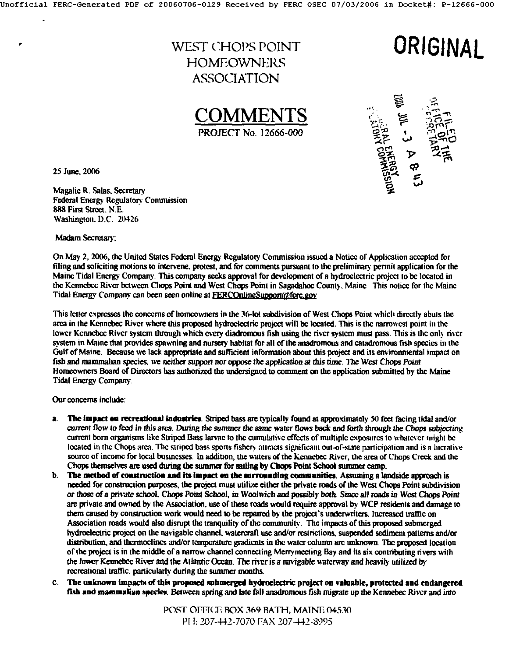## WEST CHOPS POINT **HOMEOWNERS** ASSOCIATION

ORIGINAL

COMMENTS **PROJECT No. 12666-000** 



25 June, 2006

Magalie R. Salas, Secretary Federal Energy Regulatory Commission 888 First Street, N.E. Washington, D.C. 20426

Madam Secretary:

On May 2, 2006, the United States Federal Energy Regulatory Commission issued a Notice of Application accepted for filing and soliciting motions to intervene, protest, and for comments pursuant to the preliminary permit application for the Maine Tidal Energy Company. This company seeks approval for development of a hydroelectric project to be located in the Kennebec River between Chops Point and West Chops Point in Sagadahoc County, Maine. This notice for the Maine Tidal Energy Company can been seen online at FERCOnlineSupport@ferc.gov

This letter expresses the concerns of homeowners in the 36-lot subdivision of West Chops Point which directly abuts the area in the Kennebec River where this proposed hydroelectric project will be located. This is the narrowest point in the lower Kennebec River system through which every diadromous fish using the river system must pass. This is the only river system in Maine that provides spawning and nursery habitat for all of the anadromous and catadromous fish species in the Gulf of Maine. Because we lack appropriate and sufficient information about this project and its environmental impact on fish and mammalian species, we neither support nor oppose the application at this time. The West Chops Point Homeowners Board of Directors has authorized the undersigned to comment on the application submitted by the Maine **Tidal Energy Company.** 

Our concerns include:

- The impact on recreational industries. Striped bass are typically found at approximately 50 feet facing tidal and/or a. current flow to feed in this area. During the summer the same water flows back and forth through the Chops subjecting current born organisms like Striped Bass larvae to the cumulative effects of multiple exposures to whatever might be located in the Chops area. The striped bass sports fishery attracts significant out-of-state participation and is a lucrative source of income for local businesses. In addition, the waters of the Kennebec River, the area of Chops Creek and the Chops themselves are used during the summer for sailing by Chops Point School summer camp.
- b. The method of construction and its impact on the surrounding communities. Assuming a landside approach is needed for construction purposes, the project must utilize either the private roads of the West Chops Point subdivision or those of a private school. Chops Point School, in Woolwich and possibly both. Since all roads in West Chops Point are private and owned by the Association, use of these roads would require approval by WCP residents and damage to them caused by construction work would need to be repaired by the project's underwriters. Increased traffic on Association roads would also disrupt the tranquility of the community. The impacts of this proposed submerged hydroelectric project on the navigable channel, watercraft use and/or restrictions, suspended sediment patterns and/or distribution, and thermoclines and/or temperature gradients in the water column are unknown. The proposed location of the project is in the middle of a narrow channel connecting Merrymeeting Bay and its six contributing rivers with the lower Kennebec River and the Atlantic Ocean. The river is a navigable waterway and heavily utilized by recreational traffic, particularly during the summer months.
- C. The unknown impacts of this proposed submerged hydroelectric project on valuable, protected and endangered fish and mammalian species. Between spring and late fall anadromous fish migrate up the Kennebec River and into

POST OFFICE BOX 369 BATH, MAINE 04530 PH: 207-442-7070 FAX 207-442-8995